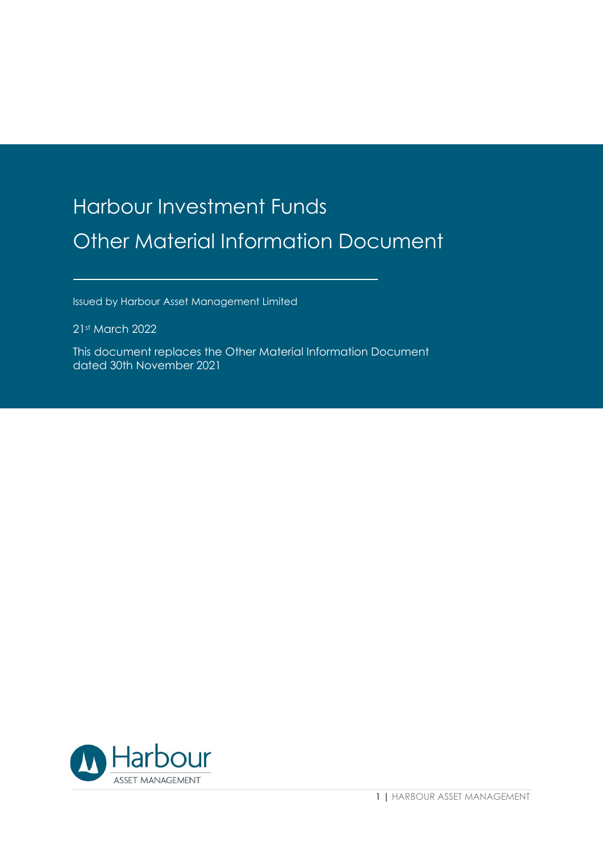# Harbour Investment Funds Other Material Information Document

Issued by Harbour Asset Management Limited

21st March 2022

This document replaces the Other Material Information Document dated 30th November 2021

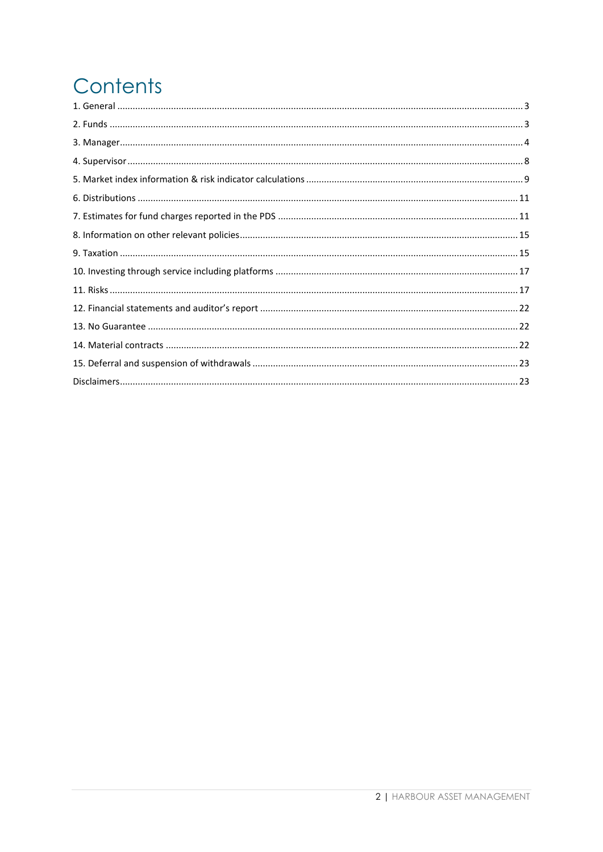# Contents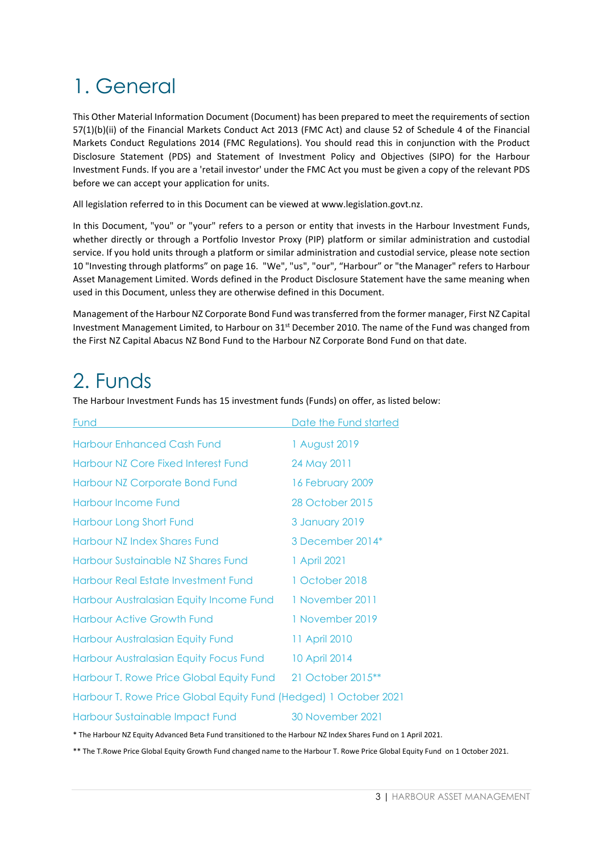# <span id="page-2-0"></span>1. General

This Other Material Information Document (Document) has been prepared to meet the requirements of section 57(1)(b)(ii) of the Financial Markets Conduct Act 2013 (FMC Act) and clause 52 of Schedule 4 of the Financial Markets Conduct Regulations 2014 (FMC Regulations). You should read this in conjunction with the Product Disclosure Statement (PDS) and Statement of Investment Policy and Objectives (SIPO) for the Harbour Investment Funds. If you are a 'retail investor' under the FMC Act you must be given a copy of the relevant PDS before we can accept your application for units.

All legislation referred to in this Document can be viewed at www.legislation.govt.nz.

In this Document, "you" or "your" refers to a person or entity that invests in the Harbour Investment Funds, whether directly or through a Portfolio Investor Proxy (PIP) platform or similar administration and custodial service. If you hold units through a platform or similar administration and custodial service, please note section 10 "Investing through platforms" on page 16. "We", "us", "our", "Harbour" or "the Manager" refers to Harbour Asset Management Limited. Words defined in the Product Disclosure Statement have the same meaning when used in this Document, unless they are otherwise defined in this Document.

Management of the Harbour NZ Corporate Bond Fund was transferred from the former manager, First NZ Capital Investment Management Limited, to Harbour on 31<sup>st</sup> December 2010. The name of the Fund was changed from the First NZ Capital Abacus NZ Bond Fund to the Harbour NZ Corporate Bond Fund on that date.

## <span id="page-2-1"></span>2. Funds

The Harbour Investment Funds has 15 investment funds (Funds) on offer, as listed below:

| <b>Fund</b>                                                      | Date the Fund started |  |  |  |
|------------------------------------------------------------------|-----------------------|--|--|--|
| <b>Harbour Enhanced Cash Fund</b>                                | 1 August 2019         |  |  |  |
| Harbour NZ Core Fixed Interest Fund                              | 24 May 2011           |  |  |  |
| <b>Harbour NZ Corporate Bond Fund</b>                            | 16 February 2009      |  |  |  |
| <b>Harbour Income Fund</b>                                       | 28 October 2015       |  |  |  |
| Harbour Long Short Fund                                          | 3 January 2019        |  |  |  |
| Harbour NZ Index Shares Fund                                     | 3 December 2014*      |  |  |  |
| Harbour Sustainable NZ Shares Fund                               | 1 April 2021          |  |  |  |
| Harbour Real Estate Investment Fund                              | 1 October 2018        |  |  |  |
| Harbour Australasian Equity Income Fund                          | 1 November 2011       |  |  |  |
| <b>Harbour Active Growth Fund</b>                                | 1 November 2019       |  |  |  |
| Harbour Australasian Equity Fund                                 | 11 April 2010         |  |  |  |
| Harbour Australasian Equity Focus Fund                           | 10 April 2014         |  |  |  |
| Harbour T. Rowe Price Global Equity Fund                         | 21 October 2015**     |  |  |  |
| Harbour T. Rowe Price Global Equity Fund (Hedged) 1 October 2021 |                       |  |  |  |
| Harbour Sustainable Impact Fund                                  | 30 November 2021      |  |  |  |

\* The Harbour NZ Equity Advanced Beta Fund transitioned to the Harbour NZ Index Shares Fund on 1 April 2021.

\*\* The T.Rowe Price Global Equity Growth Fund changed name to the Harbour T. Rowe Price Global Equity Fund on 1 October 2021.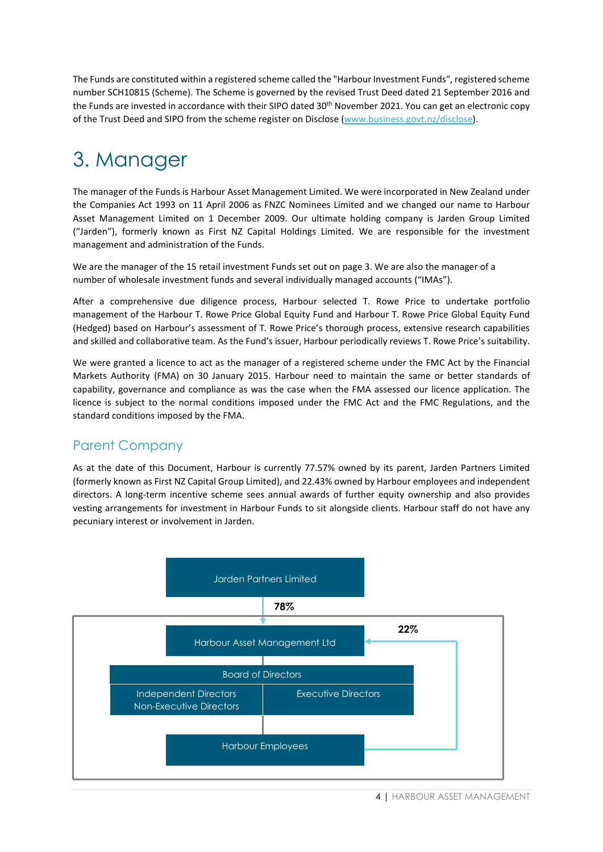The Funds are constituted within a registered scheme called the "Harbour Investment Funds", registered scheme number SCH10815 (Scheme). The Scheme is governed by the revised Trust Deed dated 21 September 2016 and the Funds are invested in accordance with their SIPO dated 30<sup>th</sup> November 2021. You can get an electronic copy of the Trust Deed and SIPO from the scheme register on Disclose [\(www.business.govt.nz/disclose\)](file://HAMLS1W/Data/Clients/Anne-Marie/PDS/www.business.govt.nz/disclose).

## <span id="page-3-0"></span>3. Manager

The manager of the Funds is Harbour Asset Management Limited. We were incorporated in New Zealand under the Companies Act 1993 on 11 April 2006 as FNZC Nominees Limited and we changed our name to Harbour Asset Management Limited on 1 December 2009. Our ultimate holding company is Jarden Group Limited ("Jarden"), formerly known as First NZ Capital Holdings Limited. We are responsible for the investment management and administration of the Funds.

We are the manager of the 15 retail investment Funds set out on page 3. We are also the manager of a number of wholesale investment funds and several individually managed accounts ("IMAs").

After a comprehensive due diligence process, Harbour selected T. Rowe Price to undertake portfolio management of the Harbour T. Rowe Price Global Equity Fund and Harbour T. Rowe Price Global Equity Fund (Hedged) based on Harbour's assessment of T. Rowe Price's thorough process, extensive research capabilities and skilled and collaborative team. As the Fund's issuer, Harbour periodically reviews T. Rowe Price's suitability.

We were granted a licence to act as the manager of a registered scheme under the FMC Act by the Financial Markets Authority (FMA) on 30 January 2015. Harbour need to maintain the same or better standards of capability, governance and compliance as was the case when the FMA assessed our licence application. The licence is subject to the normal conditions imposed under the FMC Act and the FMC Regulations, and the standard conditions imposed by the FMA.

## Parent Company

As at the date of this Document, Harbour is currently 77.57% owned by its parent, Jarden Partners Limited (formerly known as First NZ Capital Group Limited), and 22.43% owned by Harbour employees and independent directors. A long-term incentive scheme sees annual awards of further equity ownership and also provides vesting arrangements for investment in Harbour Funds to sit alongside clients. Harbour staff do not have any pecuniary interest or involvement in Jarden.

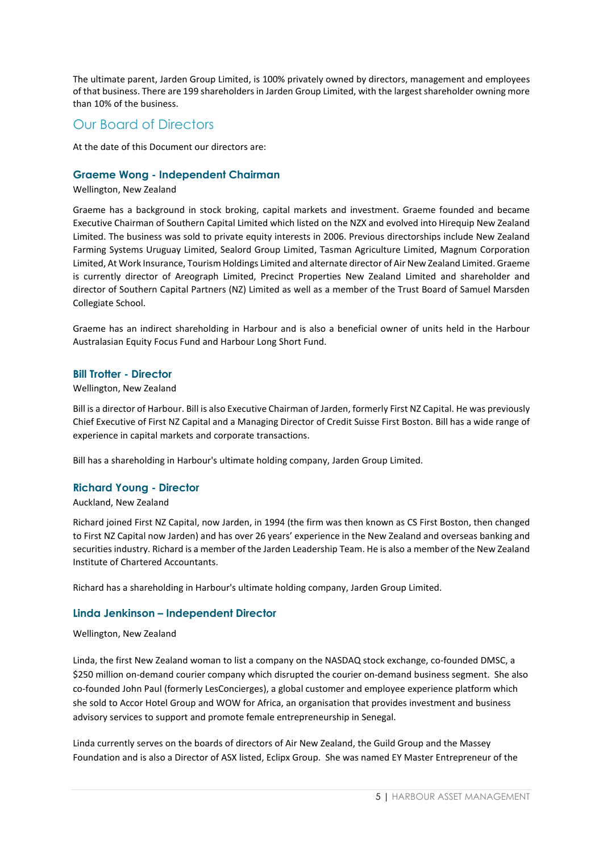The ultimate parent, Jarden Group Limited, is 100% privately owned by directors, management and employees of that business. There are 199 shareholders in Jarden Group Limited, with the largest shareholder owning more than 10% of the business.

### Our Board of Directors

At the date of this Document our directors are:

#### **Graeme Wong - Independent Chairman**

Wellington, New Zealand

Graeme has a background in stock broking, capital markets and investment. Graeme founded and became Executive Chairman of Southern Capital Limited which listed on the NZX and evolved into Hirequip New Zealand Limited. The business was sold to private equity interests in 2006. Previous directorships include New Zealand Farming Systems Uruguay Limited, Sealord Group Limited, Tasman Agriculture Limited, Magnum Corporation Limited, At Work Insurance, Tourism Holdings Limited and alternate director of Air New Zealand Limited. Graeme is currently director of Areograph Limited, Precinct Properties New Zealand Limited and shareholder and director of Southern Capital Partners (NZ) Limited as well as a member of the Trust Board of Samuel Marsden Collegiate School.

Graeme has an indirect shareholding in Harbour and is also a beneficial owner of units held in the Harbour Australasian Equity Focus Fund and Harbour Long Short Fund.

#### **Bill Trotter - Director**

#### Wellington, New Zealand

Bill is a director of Harbour. Bill is also Executive Chairman of Jarden, formerly First NZ Capital. He was previously Chief Executive of First NZ Capital and a Managing Director of Credit Suisse First Boston. Bill has a wide range of experience in capital markets and corporate transactions.

Bill has a shareholding in Harbour's ultimate holding company, Jarden Group Limited.

#### **Richard Young - Director**

#### Auckland, New Zealand

Richard joined First NZ Capital, now Jarden, in 1994 (the firm was then known as CS First Boston, then changed to First NZ Capital now Jarden) and has over 26 years' experience in the New Zealand and overseas banking and securities industry. Richard is a member of the Jarden Leadership Team. He is also a member of the New Zealand Institute of Chartered Accountants.

Richard has a shareholding in Harbour's ultimate holding company, Jarden Group Limited.

#### **Linda Jenkinson – Independent Director**

#### Wellington, New Zealand

Linda, the first New Zealand woman to list a company on the NASDAQ stock exchange, co-founded DMSC, a \$250 million on-demand courier company which disrupted the courier on-demand business segment. She also co-founded John Paul (formerly LesConcierges), a global customer and employee experience platform which she sold to Accor Hotel Group and WOW for Africa, an organisation that provides investment and business advisory services to support and promote female entrepreneurship in Senegal.

Linda currently serves on the boards of directors of Air New Zealand, the Guild Group and the Massey Foundation and is also a Director of ASX listed, Eclipx Group. She was named EY Master Entrepreneur of the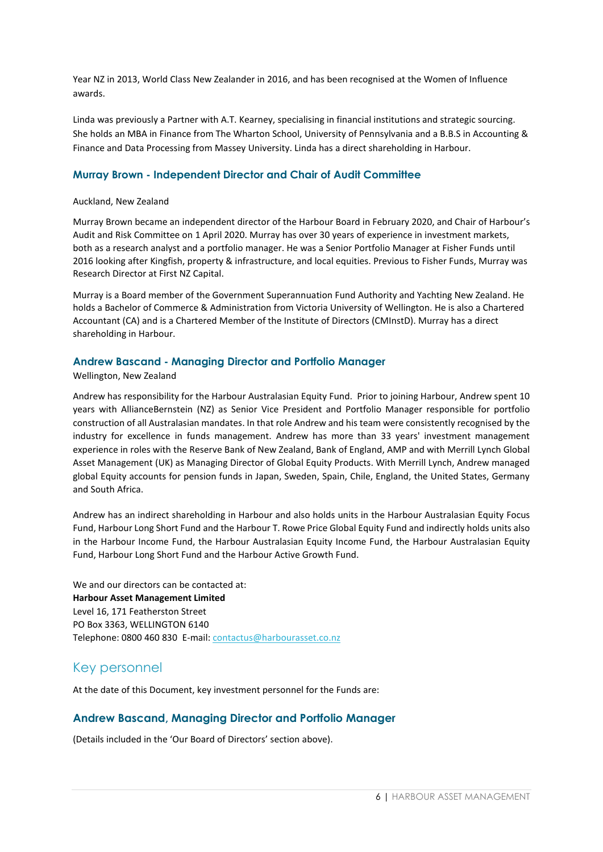Year NZ in 2013, World Class New Zealander in 2016, and has been recognised at the Women of Influence awards.

Linda was previously a Partner with A.T. Kearney, specialising in financial institutions and strategic sourcing. She holds an MBA in Finance from The Wharton School, University of Pennsylvania and a B.B.S in Accounting & Finance and Data Processing from Massey University. Linda has a direct shareholding in Harbour.

#### **Murray Brown - Independent Director and Chair of Audit Committee**

#### Auckland, New Zealand

Murray Brown became an independent director of the Harbour Board in February 2020, and Chair of Harbour's Audit and Risk Committee on 1 April 2020. Murray has over 30 years of experience in investment markets, both as a research analyst and a portfolio manager. He was a Senior Portfolio Manager at Fisher Funds until 2016 looking after Kingfish, property & infrastructure, and local equities. Previous to Fisher Funds, Murray was Research Director at First NZ Capital.

Murray is a Board member of the Government Superannuation Fund Authority and Yachting New Zealand. He holds a Bachelor of Commerce & Administration from Victoria University of Wellington. He is also a Chartered Accountant (CA) and is a Chartered Member of the Institute of Directors (CMInstD). Murray has a direct shareholding in Harbour.

#### **Andrew Bascand - Managing Director and Portfolio Manager**

#### Wellington, New Zealand

Andrew has responsibility for the Harbour Australasian Equity Fund. Prior to joining Harbour, Andrew spent 10 years with AllianceBernstein (NZ) as Senior Vice President and Portfolio Manager responsible for portfolio construction of all Australasian mandates. In that role Andrew and his team were consistently recognised by the industry for excellence in funds management. Andrew has more than 33 years' investment management experience in roles with the Reserve Bank of New Zealand, Bank of England, AMP and with Merrill Lynch Global Asset Management (UK) as Managing Director of Global Equity Products. With Merrill Lynch, Andrew managed global Equity accounts for pension funds in Japan, Sweden, Spain, Chile, England, the United States, Germany and South Africa.

Andrew has an indirect shareholding in Harbour and also holds units in the Harbour Australasian Equity Focus Fund, Harbour Long Short Fund and the Harbour T. Rowe Price Global Equity Fund and indirectly holds units also in the Harbour Income Fund, the Harbour Australasian Equity Income Fund, the Harbour Australasian Equity Fund, Harbour Long Short Fund and the Harbour Active Growth Fund.

We and our directors can be contacted at: **Harbour Asset Management Limited** Level 16, 171 Featherston Street PO Box 3363, WELLINGTON 6140 Telephone: 0800 460 830 E-mail: [contactus@harbourasset.co.nz](mailto:contactus@harbourasset.co.nz)

### Key personnel

At the date of this Document, key investment personnel for the Funds are:

#### **Andrew Bascand, Managing Director and Portfolio Manager**

(Details included in the 'Our Board of Directors' section above).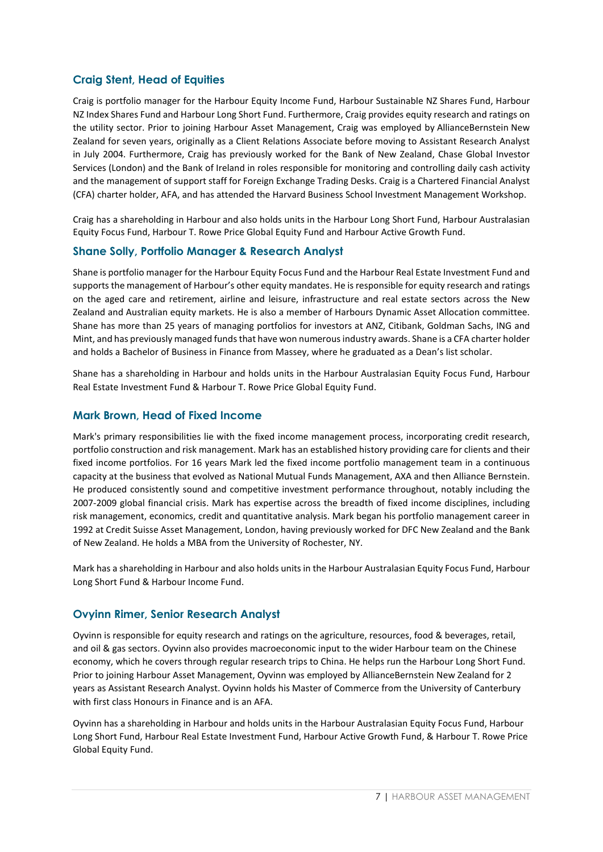### **Craig Stent, Head of Equities**

Craig is portfolio manager for the Harbour Equity Income Fund, Harbour Sustainable NZ Shares Fund, Harbour NZ Index Shares Fund and Harbour Long Short Fund. Furthermore, Craig provides equity research and ratings on the utility sector. Prior to joining Harbour Asset Management, Craig was employed by AllianceBernstein New Zealand for seven years, originally as a Client Relations Associate before moving to Assistant Research Analyst in July 2004. Furthermore, Craig has previously worked for the Bank of New Zealand, Chase Global Investor Services (London) and the Bank of Ireland in roles responsible for monitoring and controlling daily cash activity and the management of support staff for Foreign Exchange Trading Desks. Craig is a Chartered Financial Analyst (CFA) charter holder, AFA, and has attended the Harvard Business School Investment Management Workshop.

Craig has a shareholding in Harbour and also holds units in the Harbour Long Short Fund, Harbour Australasian Equity Focus Fund, Harbour T. Rowe Price Global Equity Fund and Harbour Active Growth Fund.

#### **Shane Solly, Portfolio Manager & Research Analyst**

Shane is portfolio manager for the Harbour Equity Focus Fund and the Harbour Real Estate Investment Fund and supports the management of Harbour's other equity mandates. He is responsible for equity research and ratings on the aged care and retirement, airline and leisure, infrastructure and real estate sectors across the New Zealand and Australian equity markets. He is also a member of Harbours Dynamic Asset Allocation committee. Shane has more than 25 years of managing portfolios for investors at ANZ, Citibank, Goldman Sachs, ING and Mint, and has previously managed funds that have won numerous industry awards. Shane is a CFA charter holder and holds a Bachelor of Business in Finance from Massey, where he graduated as a Dean's list scholar.

Shane has a shareholding in Harbour and holds units in the Harbour Australasian Equity Focus Fund, Harbour Real Estate Investment Fund & Harbour T. Rowe Price Global Equity Fund.

#### **Mark Brown, Head of Fixed Income**

Mark's primary responsibilities lie with the fixed income management process, incorporating credit research, portfolio construction and risk management. Mark has an established history providing care for clients and their fixed income portfolios. For 16 years Mark led the fixed income portfolio management team in a continuous capacity at the business that evolved as National Mutual Funds Management, AXA and then Alliance Bernstein. He produced consistently sound and competitive investment performance throughout, notably including the 2007-2009 global financial crisis. Mark has expertise across the breadth of fixed income disciplines, including risk management, economics, credit and quantitative analysis. Mark began his portfolio management career in 1992 at Credit Suisse Asset Management, London, having previously worked for DFC New Zealand and the Bank of New Zealand. He holds a MBA from the University of Rochester, NY.

Mark has a shareholding in Harbour and also holds units in the Harbour Australasian Equity Focus Fund, Harbour Long Short Fund & Harbour Income Fund.

#### **Ovyinn Rimer, Senior Research Analyst**

Oyvinn is responsible for equity research and ratings on the agriculture, resources, food & beverages, retail, and oil & gas sectors. Oyvinn also provides macroeconomic input to the wider Harbour team on the Chinese economy, which he covers through regular research trips to China. He helps run the Harbour Long Short Fund. Prior to joining Harbour Asset Management, Oyvinn was employed by AllianceBernstein New Zealand for 2 years as Assistant Research Analyst. Oyvinn holds his Master of Commerce from the University of Canterbury with first class Honours in Finance and is an AFA.

Oyvinn has a shareholding in Harbour and holds units in the Harbour Australasian Equity Focus Fund, Harbour Long Short Fund, Harbour Real Estate Investment Fund, Harbour Active Growth Fund, & Harbour T. Rowe Price Global Equity Fund.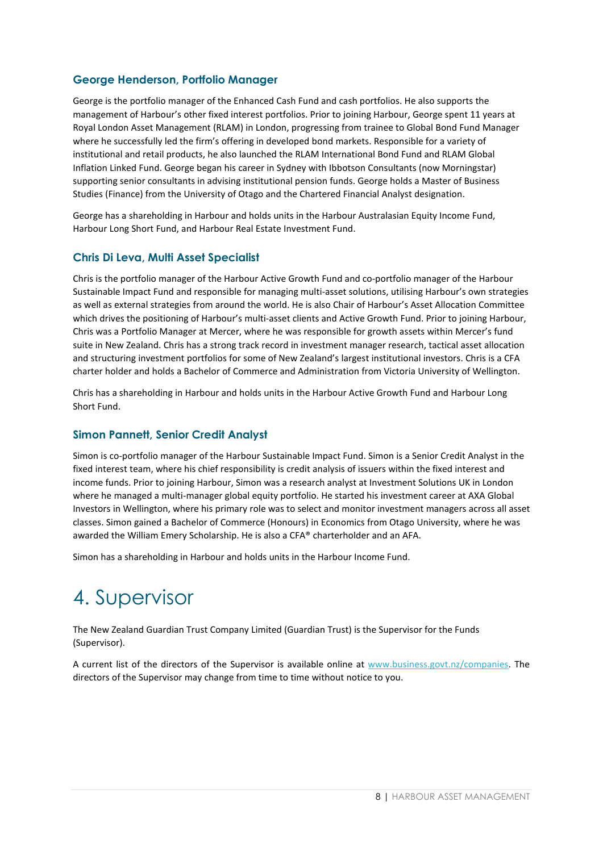### **George Henderson, Portfolio Manager**

George is the portfolio manager of the Enhanced Cash Fund and cash portfolios. He also supports the management of Harbour's other fixed interest portfolios. Prior to joining Harbour, George spent 11 years at Royal London Asset Management (RLAM) in London, progressing from trainee to Global Bond Fund Manager where he successfully led the firm's offering in developed bond markets. Responsible for a variety of institutional and retail products, he also launched the RLAM International Bond Fund and RLAM Global Inflation Linked Fund. George began his career in Sydney with Ibbotson Consultants (now Morningstar) supporting senior consultants in advising institutional pension funds. George holds a Master of Business Studies (Finance) from the University of Otago and the Chartered Financial Analyst designation.

George has a shareholding in Harbour and holds units in the Harbour Australasian Equity Income Fund, Harbour Long Short Fund, and Harbour Real Estate Investment Fund.

#### **Chris Di Leva, Multi Asset Specialist**

Chris is the portfolio manager of the Harbour Active Growth Fund and co-portfolio manager of the Harbour Sustainable Impact Fund and responsible for managing multi-asset solutions, utilising Harbour's own strategies as well as external strategies from around the world. He is also Chair of Harbour's Asset Allocation Committee which drives the positioning of Harbour's multi-asset clients and Active Growth Fund. Prior to joining Harbour, Chris was a Portfolio Manager at Mercer, where he was responsible for growth assets within Mercer's fund suite in New Zealand. Chris has a strong track record in investment manager research, tactical asset allocation and structuring investment portfolios for some of New Zealand's largest institutional investors. Chris is a CFA charter holder and holds a Bachelor of Commerce and Administration from Victoria University of Wellington.

Chris has a shareholding in Harbour and holds units in the Harbour Active Growth Fund and Harbour Long Short Fund.

#### **Simon Pannett, Senior Credit Analyst**

Simon is co-portfolio manager of the Harbour Sustainable Impact Fund. Simon is a Senior Credit Analyst in the fixed interest team, where his chief responsibility is credit analysis of issuers within the fixed interest and income funds. Prior to joining Harbour, Simon was a research analyst at Investment Solutions UK in London where he managed a multi-manager global equity portfolio. He started his investment career at AXA Global Investors in Wellington, where his primary role was to select and monitor investment managers across all asset classes. Simon gained a Bachelor of Commerce (Honours) in Economics from Otago University, where he was awarded the William Emery Scholarship. He is also a CFA® charterholder and an AFA.

Simon has a shareholding in Harbour and holds units in the Harbour Income Fund.

## <span id="page-7-0"></span>4. Supervisor

The New Zealand Guardian Trust Company Limited (Guardian Trust) is the Supervisor for the Funds (Supervisor).

A current list of the directors of the Supervisor is available online at [www.business.govt.nz/companies.](http://www.business.govt.nz/companies) The directors of the Supervisor may change from time to time without notice to you.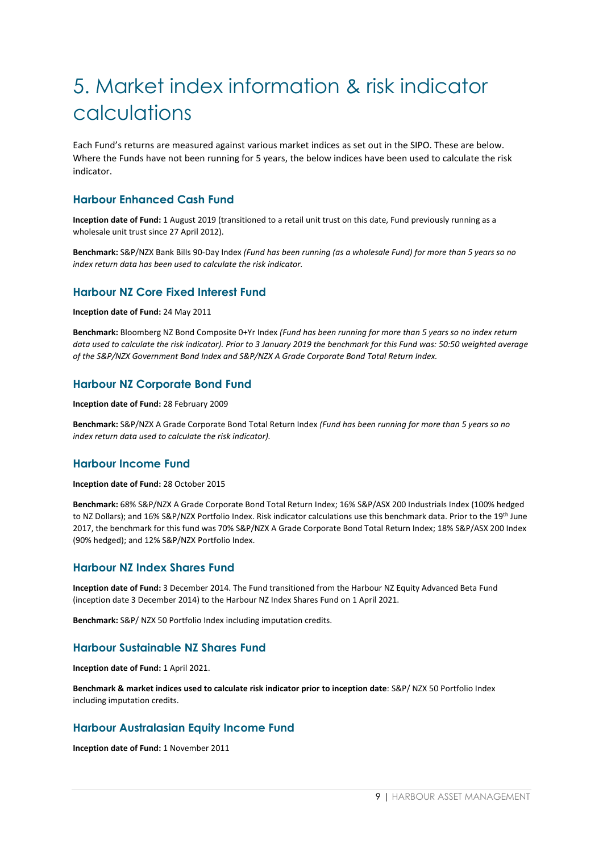# <span id="page-8-0"></span>5. Market index information & risk indicator calculations

Each Fund's returns are measured against various market indices as set out in the SIPO. These are below. Where the Funds have not been running for 5 years, the below indices have been used to calculate the risk indicator.

#### **Harbour Enhanced Cash Fund**

**Inception date of Fund:** 1 August 2019 (transitioned to a retail unit trust on this date, Fund previously running as a wholesale unit trust since 27 April 2012).

**Benchmark:** S&P/NZX Bank Bills 90-Day Index *(Fund has been running (as a wholesale Fund) for more than 5 years so no index return data has been used to calculate the risk indicator.*

#### **Harbour NZ Core Fixed Interest Fund**

**Inception date of Fund:** 24 May 2011

**Benchmark:** Bloomberg NZ Bond Composite 0+Yr Index *(Fund has been running for more than 5 years so no index return data used to calculate the risk indicator). Prior to 3 January 2019 the benchmark for this Fund was: 50:50 weighted average of the S&P/NZX Government Bond Index and S&P/NZX A Grade Corporate Bond Total Return Index.*

#### **Harbour NZ Corporate Bond Fund**

**Inception date of Fund:** 28 February 2009

**Benchmark:** S&P/NZX A Grade Corporate Bond Total Return Index *(Fund has been running for more than 5 years so no index return data used to calculate the risk indicator).*

#### **Harbour Income Fund**

#### **Inception date of Fund:** 28 October 2015

**Benchmark:** 68% S&P/NZX A Grade Corporate Bond Total Return Index; 16% S&P/ASX 200 Industrials Index (100% hedged to NZ Dollars); and 16% S&P/NZX Portfolio Index. Risk indicator calculations use this benchmark data. Prior to the 19<sup>th</sup> June 2017, the benchmark for this fund was 70% S&P/NZX A Grade Corporate Bond Total Return Index; 18% S&P/ASX 200 Index (90% hedged); and 12% S&P/NZX Portfolio Index.

#### **Harbour NZ Index Shares Fund**

**Inception date of Fund:** 3 December 2014. The Fund transitioned from the Harbour NZ Equity Advanced Beta Fund (inception date 3 December 2014) to the Harbour NZ Index Shares Fund on 1 April 2021.

**Benchmark:** S&P/ NZX 50 Portfolio Index including imputation credits.

#### **Harbour Sustainable NZ Shares Fund**

**Inception date of Fund:** 1 April 2021.

**Benchmark & market indices used to calculate risk indicator prior to inception date**: S&P/ NZX 50 Portfolio Index including imputation credits.

#### **Harbour Australasian Equity Income Fund**

**Inception date of Fund:** 1 November 2011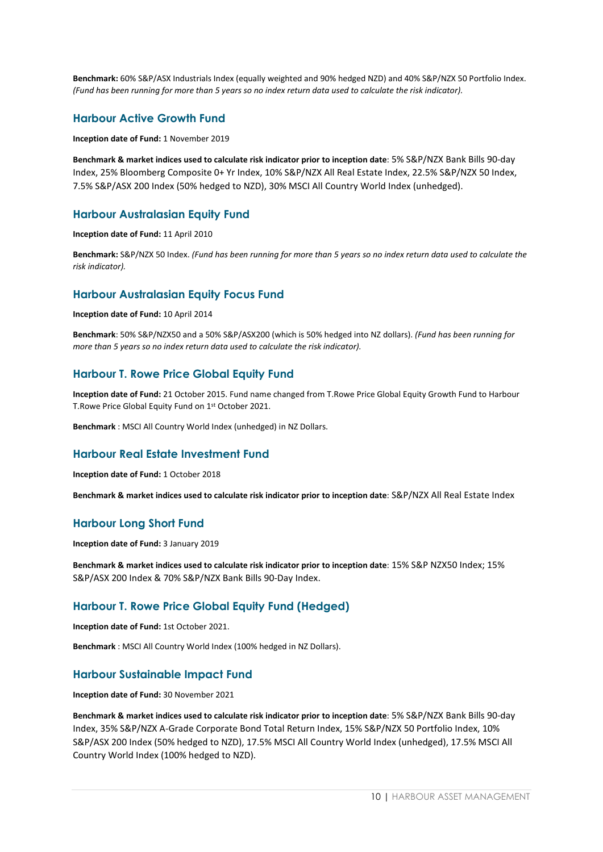**Benchmark:** 60% S&P/ASX Industrials Index (equally weighted and 90% hedged NZD) and 40% S&P/NZX 50 Portfolio Index. *(Fund has been running for more than 5 years so no index return data used to calculate the risk indicator).*

#### **Harbour Active Growth Fund**

**Inception date of Fund:** 1 November 2019

**Benchmark & market indices used to calculate risk indicator prior to inception date**: 5% S&P/NZX Bank Bills 90-day Index, 25% Bloomberg Composite 0+ Yr Index, 10% S&P/NZX All Real Estate Index, 22.5% S&P/NZX 50 Index, 7.5% S&P/ASX 200 Index (50% hedged to NZD), 30% MSCI All Country World Index (unhedged).

#### **Harbour Australasian Equity Fund**

**Inception date of Fund:** 11 April 2010

**Benchmark:** S&P/NZX 50 Index. *(Fund has been running for more than 5 years so no index return data used to calculate the risk indicator).*

#### **Harbour Australasian Equity Focus Fund**

**Inception date of Fund:** 10 April 2014

**Benchmark**: 50% S&P/NZX50 and a 50% S&P/ASX200 (which is 50% hedged into NZ dollars). *(Fund has been running for more than 5 years so no index return data used to calculate the risk indicator).*

#### **Harbour T. Rowe Price Global Equity Fund**

**Inception date of Fund:** 21 October 2015. Fund name changed from T.Rowe Price Global Equity Growth Fund to Harbour T.Rowe Price Global Equity Fund on 1st October 2021.

**Benchmark** : MSCI All Country World Index (unhedged) in NZ Dollars.

#### **Harbour Real Estate Investment Fund**

**Inception date of Fund:** 1 October 2018

**Benchmark & market indices used to calculate risk indicator prior to inception date**: S&P/NZX All Real Estate Index

#### **Harbour Long Short Fund**

**Inception date of Fund:** 3 January 2019

**Benchmark & market indices used to calculate risk indicator prior to inception date**: 15% S&P NZX50 Index; 15% S&P/ASX 200 Index & 70% S&P/NZX Bank Bills 90-Day Index.

#### **Harbour T. Rowe Price Global Equity Fund (Hedged)**

**Inception date of Fund:** 1st October 2021.

**Benchmark** : MSCI All Country World Index (100% hedged in NZ Dollars).

#### **Harbour Sustainable Impact Fund**

**Inception date of Fund:** 30 November 2021

**Benchmark & market indices used to calculate risk indicator prior to inception date**: 5% S&P/NZX Bank Bills 90-day Index, 35% S&P/NZX A-Grade Corporate Bond Total Return Index, 15% S&P/NZX 50 Portfolio Index, 10% S&P/ASX 200 Index (50% hedged to NZD), 17.5% MSCI All Country World Index (unhedged), 17.5% MSCI All Country World Index (100% hedged to NZD).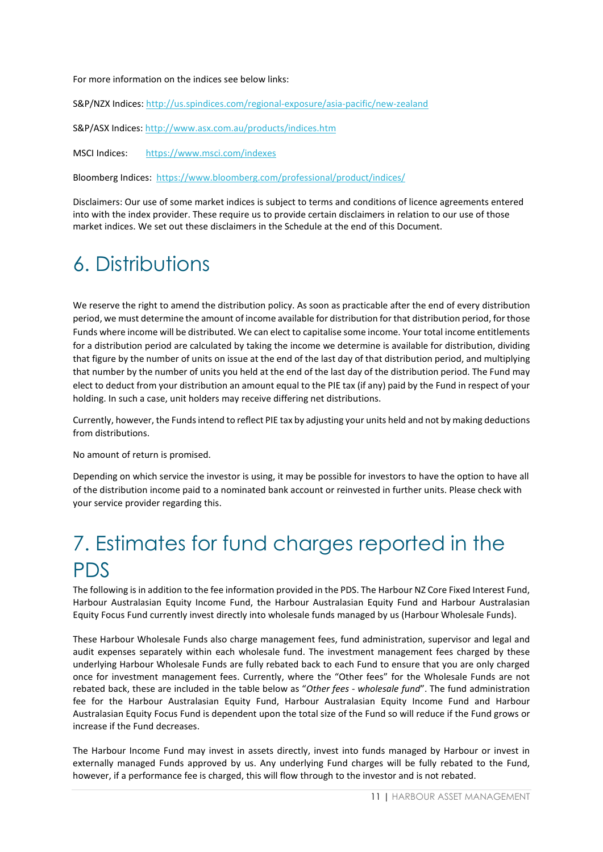For more information on the indices see below links:

S&P/NZX Indices[: http://us.spindices.com/regional-exposure/asia-pacific/new-zealand](http://us.spindices.com/regional-exposure/asia-pacific/new-zealand)

S&P/ASX Indices[: http://www.asx.com.au/products/indices.htm](http://www.asx.com.au/products/indices.htm)

MSCI Indices: <https://www.msci.com/indexes>

Bloomberg Indices: <https://www.bloomberg.com/professional/product/indices/>

Disclaimers: Our use of some market indices is subject to terms and conditions of licence agreements entered into with the index provider. These require us to provide certain disclaimers in relation to our use of those market indices. We set out these disclaimers in the Schedule at the end of this Document.

# <span id="page-10-0"></span>6. Distributions

We reserve the right to amend the distribution policy. As soon as practicable after the end of every distribution period, we must determine the amount of income available for distribution for that distribution period, for those Funds where income will be distributed. We can elect to capitalise some income. Your total income entitlements for a distribution period are calculated by taking the income we determine is available for distribution, dividing that figure by the number of units on issue at the end of the last day of that distribution period, and multiplying that number by the number of units you held at the end of the last day of the distribution period. The Fund may elect to deduct from your distribution an amount equal to the PIE tax (if any) paid by the Fund in respect of your holding. In such a case, unit holders may receive differing net distributions.

Currently, however, the Funds intend to reflect PIE tax by adjusting your units held and not by making deductions from distributions.

No amount of return is promised.

Depending on which service the investor is using, it may be possible for investors to have the option to have all of the distribution income paid to a nominated bank account or reinvested in further units. Please check with your service provider regarding this.

# <span id="page-10-1"></span>7. Estimates for fund charges reported in the PDS

The following is in addition to the fee information provided in the PDS. The Harbour NZ Core Fixed Interest Fund, Harbour Australasian Equity Income Fund, the Harbour Australasian Equity Fund and Harbour Australasian Equity Focus Fund currently invest directly into wholesale funds managed by us (Harbour Wholesale Funds).

These Harbour Wholesale Funds also charge management fees, fund administration, supervisor and legal and audit expenses separately within each wholesale fund. The investment management fees charged by these underlying Harbour Wholesale Funds are fully rebated back to each Fund to ensure that you are only charged once for investment management fees. Currently, where the "Other fees" for the Wholesale Funds are not rebated back, these are included in the table below as "*Other fees - wholesale fund*". The fund administration fee for the Harbour Australasian Equity Fund, Harbour Australasian Equity Income Fund and Harbour Australasian Equity Focus Fund is dependent upon the total size of the Fund so will reduce if the Fund grows or increase if the Fund decreases.

The Harbour Income Fund may invest in assets directly, invest into funds managed by Harbour or invest in externally managed Funds approved by us. Any underlying Fund charges will be fully rebated to the Fund, however, if a performance fee is charged, this will flow through to the investor and is not rebated.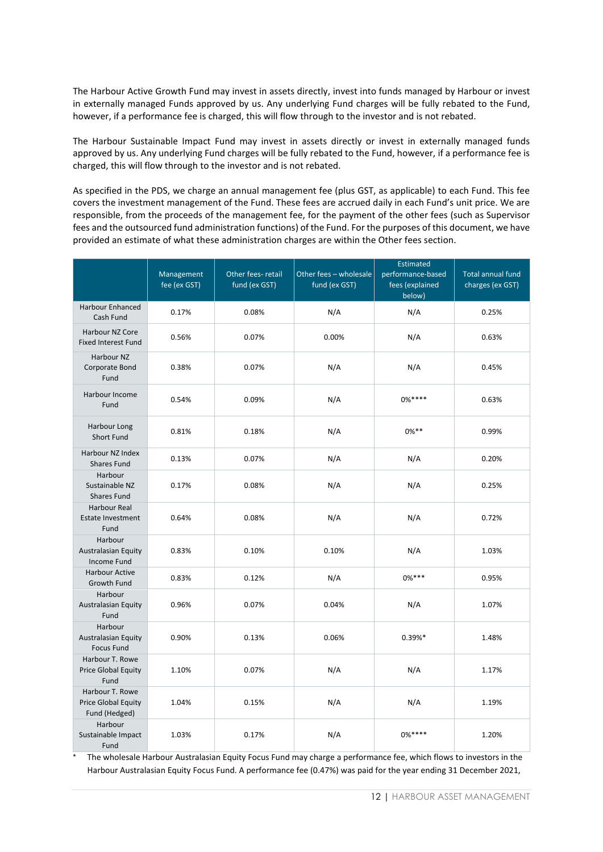The Harbour Active Growth Fund may invest in assets directly, invest into funds managed by Harbour or invest in externally managed Funds approved by us. Any underlying Fund charges will be fully rebated to the Fund, however, if a performance fee is charged, this will flow through to the investor and is not rebated.

The Harbour Sustainable Impact Fund may invest in assets directly or invest in externally managed funds approved by us. Any underlying Fund charges will be fully rebated to the Fund, however, if a performance fee is charged, this will flow through to the investor and is not rebated.

As specified in the PDS, we charge an annual management fee (plus GST, as applicable) to each Fund. This fee covers the investment management of the Fund. These fees are accrued daily in each Fund's unit price. We are responsible, from the proceeds of the management fee, for the payment of the other fees (such as Supervisor fees and the outsourced fund administration functions) of the Fund. For the purposes of this document, we have provided an estimate of what these administration charges are within the Other fees section.

|                                                                | Management<br>fee (ex GST) | Other fees- retail<br>fund (ex GST) | Other fees - wholesale<br>fund (ex GST) | <b>Estimated</b><br>performance-based<br>fees (explained<br>below) | <b>Total annual fund</b><br>charges (ex GST) |
|----------------------------------------------------------------|----------------------------|-------------------------------------|-----------------------------------------|--------------------------------------------------------------------|----------------------------------------------|
| <b>Harbour Enhanced</b><br>Cash Fund                           | 0.17%                      | 0.08%                               | N/A                                     | N/A                                                                | 0.25%                                        |
| Harbour NZ Core<br><b>Fixed Interest Fund</b>                  | 0.56%                      | 0.07%                               | 0.00%                                   | N/A                                                                | 0.63%                                        |
| Harbour NZ<br>Corporate Bond<br>Fund                           | 0.38%                      | 0.07%                               | N/A                                     | N/A                                                                | 0.45%                                        |
| Harbour Income<br>Fund                                         | 0.54%                      | 0.09%                               | N/A                                     | $0\%***$                                                           | 0.63%                                        |
| Harbour Long<br>Short Fund                                     | 0.81%                      | 0.18%                               | N/A                                     | $0\%$ **                                                           | 0.99%                                        |
| Harbour NZ Index<br><b>Shares Fund</b>                         | 0.13%                      | 0.07%                               | N/A                                     | N/A                                                                | 0.20%                                        |
| Harbour<br>Sustainable NZ<br><b>Shares Fund</b>                | 0.17%                      | 0.08%                               | N/A                                     | N/A                                                                | 0.25%                                        |
| <b>Harbour Real</b><br><b>Estate Investment</b><br>Fund        | 0.64%                      | 0.08%                               | N/A                                     | N/A                                                                | 0.72%                                        |
| Harbour<br><b>Australasian Equity</b><br><b>Income Fund</b>    | 0.83%                      | 0.10%                               | 0.10%                                   | N/A                                                                | 1.03%                                        |
| <b>Harbour Active</b><br>Growth Fund                           | 0.83%                      | 0.12%                               | N/A                                     | $0\%***$                                                           | 0.95%                                        |
| Harbour<br>Australasian Equity<br>Fund                         | 0.96%                      | 0.07%                               | 0.04%                                   | N/A                                                                | 1.07%                                        |
| Harbour<br><b>Australasian Equity</b><br><b>Focus Fund</b>     | 0.90%                      | 0.13%                               | 0.06%                                   | 0.39%*                                                             | 1.48%                                        |
| Harbour T. Rowe<br>Price Global Equity<br>Fund                 | 1.10%                      | 0.07%                               | N/A                                     | N/A                                                                | 1.17%                                        |
| Harbour T. Rowe<br><b>Price Global Equity</b><br>Fund (Hedged) | 1.04%                      | 0.15%                               | N/A                                     | N/A                                                                | 1.19%                                        |
| Harbour<br>Sustainable Impact<br>Fund                          | 1.03%                      | 0.17%                               | N/A                                     | $0\%***$                                                           | 1.20%                                        |

The wholesale Harbour Australasian Equity Focus Fund may charge a performance fee, which flows to investors in the Harbour Australasian Equity Focus Fund. A performance fee (0.47%) was paid for the year ending 31 December 2021,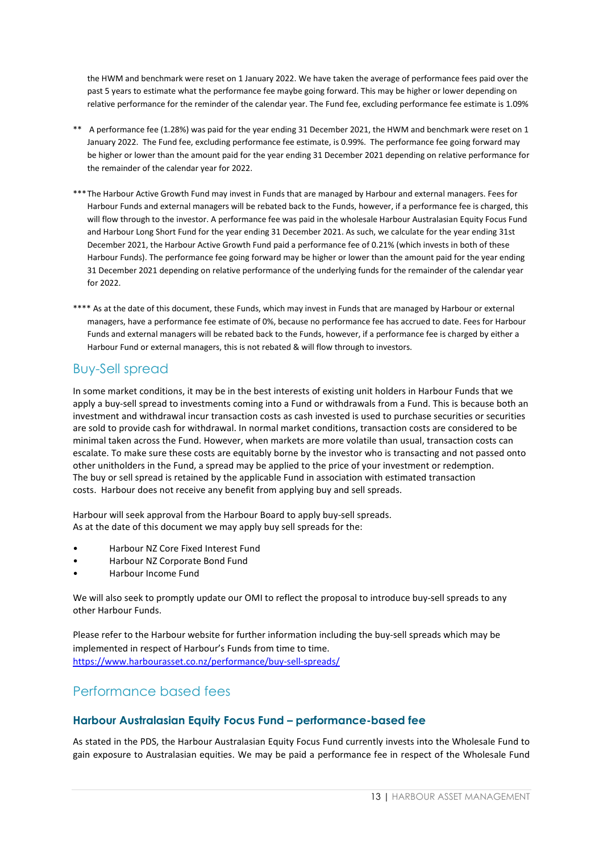the HWM and benchmark were reset on 1 January 2022. We have taken the average of performance fees paid over the past 5 years to estimate what the performance fee maybe going forward. This may be higher or lower depending on relative performance for the reminder of the calendar year. The Fund fee, excluding performance fee estimate is 1.09%

- \*\* A performance fee (1.28%) was paid for the year ending 31 December 2021, the HWM and benchmark were reset on 1 January 2022. The Fund fee, excluding performance fee estimate, is 0.99%. The performance fee going forward may be higher or lower than the amount paid for the year ending 31 December 2021 depending on relative performance for the remainder of the calendar year for 2022.
- \*\*\*The Harbour Active Growth Fund may invest in Funds that are managed by Harbour and external managers. Fees for Harbour Funds and external managers will be rebated back to the Funds, however, if a performance fee is charged, this will flow through to the investor. A performance fee was paid in the wholesale Harbour Australasian Equity Focus Fund and Harbour Long Short Fund for the year ending 31 December 2021. As such, we calculate for the year ending 31st December 2021, the Harbour Active Growth Fund paid a performance fee of 0.21% (which invests in both of these Harbour Funds). The performance fee going forward may be higher or lower than the amount paid for the year ending 31 December 2021 depending on relative performance of the underlying funds for the remainder of the calendar year for 2022.
- \*\*\*\* As at the date of this document, these Funds, which may invest in Funds that are managed by Harbour or external managers, have a performance fee estimate of 0%, because no performance fee has accrued to date. Fees for Harbour Funds and external managers will be rebated back to the Funds, however, if a performance fee is charged by either a Harbour Fund or external managers, this is not rebated & will flow through to investors.

### Buy-Sell spread

In some market conditions, it may be in the best interests of existing unit holders in Harbour Funds that we apply a buy-sell spread to investments coming into a Fund or withdrawals from a Fund. This is because both an investment and withdrawal incur transaction costs as cash invested is used to purchase securities or securities are sold to provide cash for withdrawal. In normal market conditions, transaction costs are considered to be minimal taken across the Fund. However, when markets are more volatile than usual, transaction costs can escalate. To make sure these costs are equitably borne by the investor who is transacting and not passed onto other unitholders in the Fund, a spread may be applied to the price of your investment or redemption. The buy or sell spread is retained by the applicable Fund in association with estimated transaction costs. Harbour does not receive any benefit from applying buy and sell spreads.

Harbour will seek approval from the Harbour Board to apply buy-sell spreads. As at the date of this document we may apply buy sell spreads for the:

- Harbour NZ Core Fixed Interest Fund
- Harbour NZ Corporate Bond Fund
- Harbour Income Fund

We will also seek to promptly update our OMI to reflect the proposal to introduce buy-sell spreads to any other Harbour Funds.

Please refer to the Harbour website for further information including the buy-sell spreads which may be implemented in respect of Harbour's Funds from time to time. <https://www.harbourasset.co.nz/performance/buy-sell-spreads/>

### Performance based fees

#### **Harbour Australasian Equity Focus Fund – performance-based fee**

As stated in the PDS, the Harbour Australasian Equity Focus Fund currently invests into the Wholesale Fund to gain exposure to Australasian equities. We may be paid a performance fee in respect of the Wholesale Fund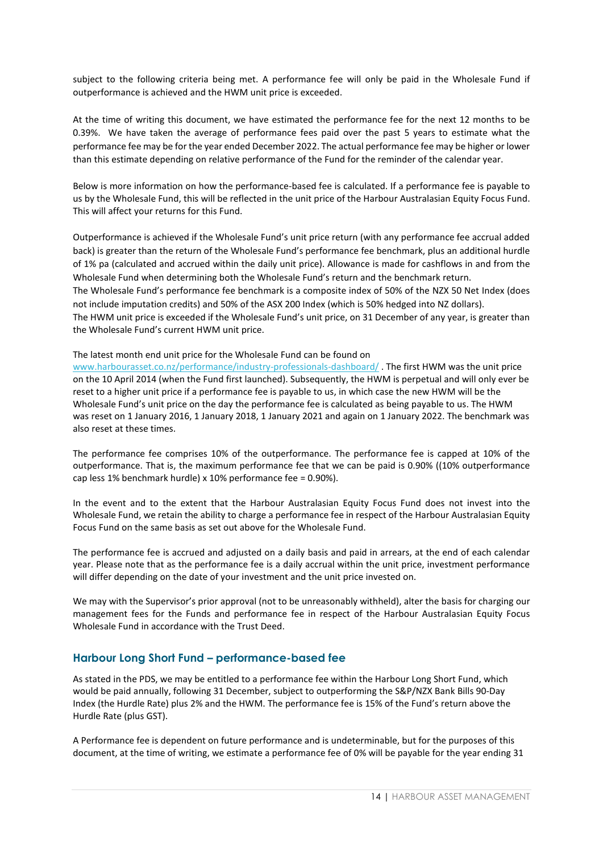subject to the following criteria being met. A performance fee will only be paid in the Wholesale Fund if outperformance is achieved and the HWM unit price is exceeded.

At the time of writing this document, we have estimated the performance fee for the next 12 months to be 0.39%. We have taken the average of performance fees paid over the past 5 years to estimate what the performance fee may be for the year ended December 2022. The actual performance fee may be higher or lower than this estimate depending on relative performance of the Fund for the reminder of the calendar year.

Below is more information on how the performance-based fee is calculated. If a performance fee is payable to us by the Wholesale Fund, this will be reflected in the unit price of the Harbour Australasian Equity Focus Fund. This will affect your returns for this Fund.

Outperformance is achieved if the Wholesale Fund's unit price return (with any performance fee accrual added back) is greater than the return of the Wholesale Fund's performance fee benchmark, plus an additional hurdle of 1% pa (calculated and accrued within the daily unit price). Allowance is made for cashflows in and from the Wholesale Fund when determining both the Wholesale Fund's return and the benchmark return. The Wholesale Fund's performance fee benchmark is a composite index of 50% of the NZX 50 Net Index (does not include imputation credits) and 50% of the ASX 200 Index (which is 50% hedged into NZ dollars). The HWM unit price is exceeded if the Wholesale Fund's unit price, on 31 December of any year, is greater than the Wholesale Fund's current HWM unit price.

The latest month end unit price for the Wholesale Fund can be found on

[www.harbourasset.co.nz/performance/industry-professionals-dashboard/](http://www.harbourasset.co.nz/performance/industry-professionals-dashboard/) . The first HWM was the unit price on the 10 April 2014 (when the Fund first launched). Subsequently, the HWM is perpetual and will only ever be reset to a higher unit price if a performance fee is payable to us, in which case the new HWM will be the Wholesale Fund's unit price on the day the performance fee is calculated as being payable to us. The HWM was reset on 1 January 2016, 1 January 2018, 1 January 2021 and again on 1 January 2022. The benchmark was also reset at these times.

The performance fee comprises 10% of the outperformance. The performance fee is capped at 10% of the outperformance. That is, the maximum performance fee that we can be paid is 0.90% ((10% outperformance cap less 1% benchmark hurdle) x 10% performance fee = 0.90%).

In the event and to the extent that the Harbour Australasian Equity Focus Fund does not invest into the Wholesale Fund, we retain the ability to charge a performance fee in respect of the Harbour Australasian Equity Focus Fund on the same basis as set out above for the Wholesale Fund.

The performance fee is accrued and adjusted on a daily basis and paid in arrears, at the end of each calendar year. Please note that as the performance fee is a daily accrual within the unit price, investment performance will differ depending on the date of your investment and the unit price invested on.

We may with the Supervisor's prior approval (not to be unreasonably withheld), alter the basis for charging our management fees for the Funds and performance fee in respect of the Harbour Australasian Equity Focus Wholesale Fund in accordance with the Trust Deed.

#### **Harbour Long Short Fund – performance-based fee**

As stated in the PDS, we may be entitled to a performance fee within the Harbour Long Short Fund, which would be paid annually, following 31 December, subject to outperforming the S&P/NZX Bank Bills 90-Day Index (the Hurdle Rate) plus 2% and the HWM. The performance fee is 15% of the Fund's return above the Hurdle Rate (plus GST).

A Performance fee is dependent on future performance and is undeterminable, but for the purposes of this document, at the time of writing, we estimate a performance fee of 0% will be payable for the year ending 31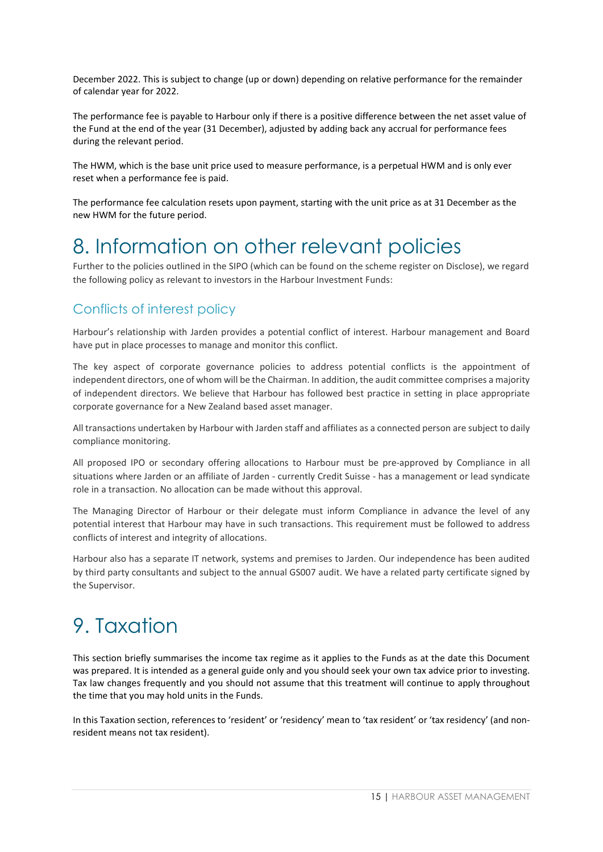December 2022. This is subject to change (up or down) depending on relative performance for the remainder of calendar year for 2022.

The performance fee is payable to Harbour only if there is a positive difference between the net asset value of the Fund at the end of the year (31 December), adjusted by adding back any accrual for performance fees during the relevant period.

The HWM, which is the base unit price used to measure performance, is a perpetual HWM and is only ever reset when a performance fee is paid.

The performance fee calculation resets upon payment, starting with the unit price as at 31 December as the new HWM for the future period.

## <span id="page-14-0"></span>8. Information on other relevant policies

Further to the policies outlined in the SIPO (which can be found on the scheme register on Disclose), we regard the following policy as relevant to investors in the Harbour Investment Funds:

## Conflicts of interest policy

Harbour's relationship with Jarden provides a potential conflict of interest. Harbour management and Board have put in place processes to manage and monitor this conflict.

The key aspect of corporate governance policies to address potential conflicts is the appointment of independent directors, one of whom will be the Chairman. In addition, the audit committee comprises a majority of independent directors. We believe that Harbour has followed best practice in setting in place appropriate corporate governance for a New Zealand based asset manager.

All transactions undertaken by Harbour with Jarden staff and affiliates as a connected person are subject to daily compliance monitoring.

All proposed IPO or secondary offering allocations to Harbour must be pre-approved by Compliance in all situations where Jarden or an affiliate of Jarden - currently Credit Suisse - has a management or lead syndicate role in a transaction. No allocation can be made without this approval.

The Managing Director of Harbour or their delegate must inform Compliance in advance the level of any potential interest that Harbour may have in such transactions. This requirement must be followed to address conflicts of interest and integrity of allocations.

Harbour also has a separate IT network, systems and premises to Jarden. Our independence has been audited by third party consultants and subject to the annual GS007 audit. We have a related party certificate signed by the Supervisor.

# <span id="page-14-1"></span>9. Taxation

This section briefly summarises the income tax regime as it applies to the Funds as at the date this Document was prepared. It is intended as a general guide only and you should seek your own tax advice prior to investing. Tax law changes frequently and you should not assume that this treatment will continue to apply throughout the time that you may hold units in the Funds.

In this Taxation section, references to 'resident' or 'residency' mean to 'tax resident' or 'tax residency' (and nonresident means not tax resident).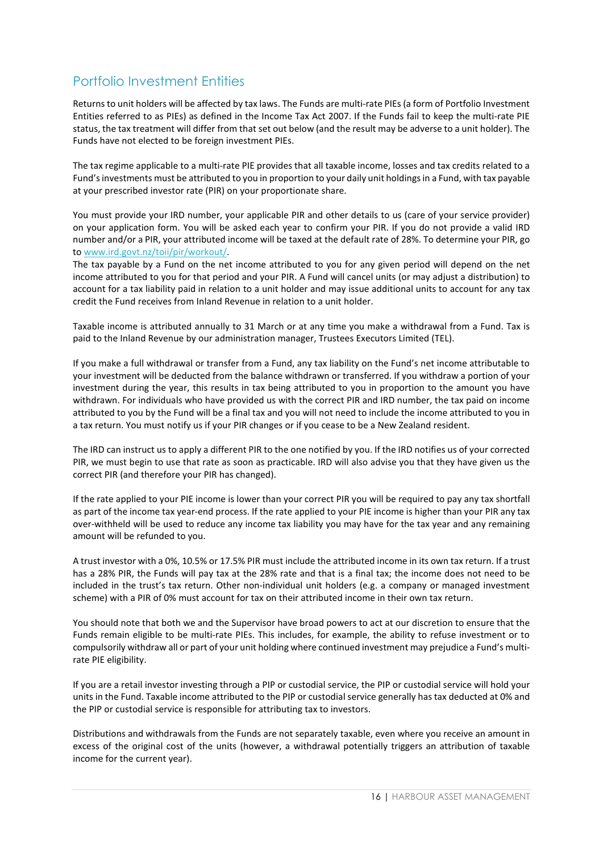## Portfolio Investment Entities

Returns to unit holders will be affected by tax laws. The Funds are multi-rate PIEs (a form of Portfolio Investment Entities referred to as PIEs) as defined in the Income Tax Act 2007. If the Funds fail to keep the multi-rate PIE status, the tax treatment will differ from that set out below (and the result may be adverse to a unit holder). The Funds have not elected to be foreign investment PIEs.

The tax regime applicable to a multi-rate PIE provides that all taxable income, losses and tax credits related to a Fund's investments must be attributed to you in proportion to your daily unit holdings in a Fund, with tax payable at your prescribed investor rate (PIR) on your proportionate share.

You must provide your IRD number, your applicable PIR and other details to us (care of your service provider) on your application form. You will be asked each year to confirm your PIR. If you do not provide a valid IRD number and/or a PIR, your attributed income will be taxed at the default rate of 28%. To determine your PIR, go to [www.ird.govt.nz/toii/pir/](http://www.ird.govt.nz/toii/pir)workout/.

The tax payable by a Fund on the net income attributed to you for any given period will depend on the net income attributed to you for that period and your PIR. A Fund will cancel units (or may adjust a distribution) to account for a tax liability paid in relation to a unit holder and may issue additional units to account for any tax credit the Fund receives from Inland Revenue in relation to a unit holder.

Taxable income is attributed annually to 31 March or at any time you make a withdrawal from a Fund. Tax is paid to the Inland Revenue by our administration manager, Trustees Executors Limited (TEL).

If you make a full withdrawal or transfer from a Fund, any tax liability on the Fund's net income attributable to your investment will be deducted from the balance withdrawn or transferred. If you withdraw a portion of your investment during the year, this results in tax being attributed to you in proportion to the amount you have withdrawn. For individuals who have provided us with the correct PIR and IRD number, the tax paid on income attributed to you by the Fund will be a final tax and you will not need to include the income attributed to you in a tax return. You must notify us if your PIR changes or if you cease to be a New Zealand resident.

The IRD can instruct us to apply a different PIR to the one notified by you. If the IRD notifies us of your corrected PIR, we must begin to use that rate as soon as practicable. IRD will also advise you that they have given us the correct PIR (and therefore your PIR has changed).

If the rate applied to your PIE income is lower than your correct PIR you will be required to pay any tax shortfall as part of the income tax year-end process. If the rate applied to your PIE income is higher than your PIR any tax over-withheld will be used to reduce any income tax liability you may have for the tax year and any remaining amount will be refunded to you.

A trust investor with a 0%, 10.5% or 17.5% PIR must include the attributed income in its own tax return. If a trust has a 28% PIR, the Funds will pay tax at the 28% rate and that is a final tax; the income does not need to be included in the trust's tax return. Other non-individual unit holders (e.g. a company or managed investment scheme) with a PIR of 0% must account for tax on their attributed income in their own tax return.

You should note that both we and the Supervisor have broad powers to act at our discretion to ensure that the Funds remain eligible to be multi-rate PIEs. This includes, for example, the ability to refuse investment or to compulsorily withdraw all or part of your unit holding where continued investment may prejudice a Fund's multirate PIE eligibility.

If you are a retail investor investing through a PIP or custodial service, the PIP or custodial service will hold your units in the Fund. Taxable income attributed to the PIP or custodial service generally has tax deducted at 0% and the PIP or custodial service is responsible for attributing tax to investors.

Distributions and withdrawals from the Funds are not separately taxable, even where you receive an amount in excess of the original cost of the units (however, a withdrawal potentially triggers an attribution of taxable income for the current year).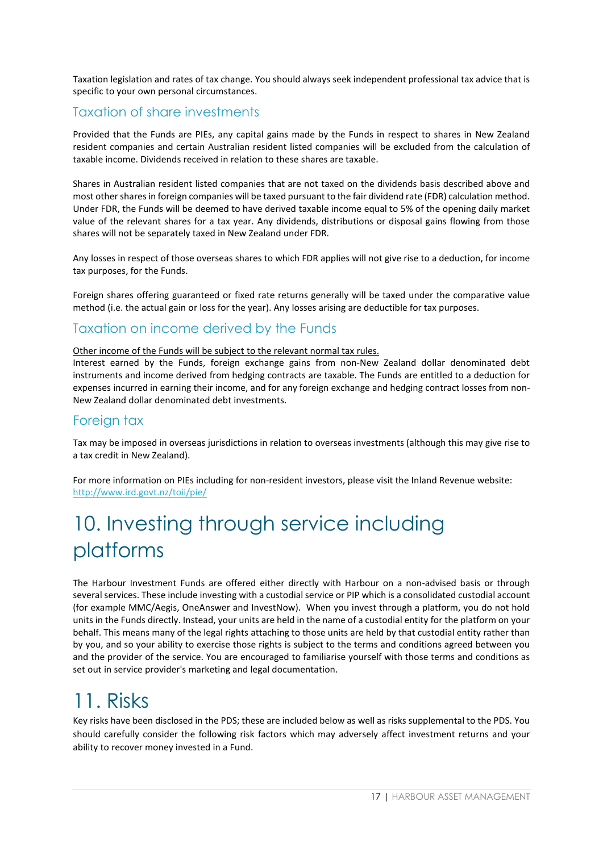Taxation legislation and rates of tax change. You should always seek independent professional tax advice that is specific to your own personal circumstances.

## Taxation of share investments

Provided that the Funds are PIEs, any capital gains made by the Funds in respect to shares in New Zealand resident companies and certain Australian resident listed companies will be excluded from the calculation of taxable income. Dividends received in relation to these shares are taxable.

Shares in Australian resident listed companies that are not taxed on the dividends basis described above and most other shares in foreign companies will be taxed pursuant to the fair dividend rate (FDR) calculation method. Under FDR, the Funds will be deemed to have derived taxable income equal to 5% of the opening daily market value of the relevant shares for a tax year. Any dividends, distributions or disposal gains flowing from those shares will not be separately taxed in New Zealand under FDR.

Any losses in respect of those overseas shares to which FDR applies will not give rise to a deduction, for income tax purposes, for the Funds.

Foreign shares offering guaranteed or fixed rate returns generally will be taxed under the comparative value method (i.e. the actual gain or loss for the year). Any losses arising are deductible for tax purposes.

## Taxation on income derived by the Funds

Other income of the Funds will be subject to the relevant normal tax rules.

Interest earned by the Funds, foreign exchange gains from non-New Zealand dollar denominated debt instruments and income derived from hedging contracts are taxable. The Funds are entitled to a deduction for expenses incurred in earning their income, and for any foreign exchange and hedging contract losses from non-New Zealand dollar denominated debt investments.

### Foreign tax

Tax may be imposed in overseas jurisdictions in relation to overseas investments (although this may give rise to a tax credit in New Zealand).

For more information on PIEs including for non-resident investors, please visit the Inland Revenue website: <http://www.ird.govt.nz/toii/pie/>

# <span id="page-16-0"></span>10. Investing through service including platforms

The Harbour Investment Funds are offered either directly with Harbour on a non-advised basis or through several services. These include investing with a custodial service or PIP which is a consolidated custodial account (for example MMC/Aegis, OneAnswer and InvestNow). When you invest through a platform, you do not hold units in the Funds directly. Instead, your units are held in the name of a custodial entity for the platform on your behalf. This means many of the legal rights attaching to those units are held by that custodial entity rather than by you, and so your ability to exercise those rights is subject to the terms and conditions agreed between you and the provider of the service. You are encouraged to familiarise yourself with those terms and conditions as set out in service provider's marketing and legal documentation.

## <span id="page-16-1"></span>11. Risks

Key risks have been disclosed in the PDS; these are included below as well as risks supplemental to the PDS. You should carefully consider the following risk factors which may adversely affect investment returns and your ability to recover money invested in a Fund.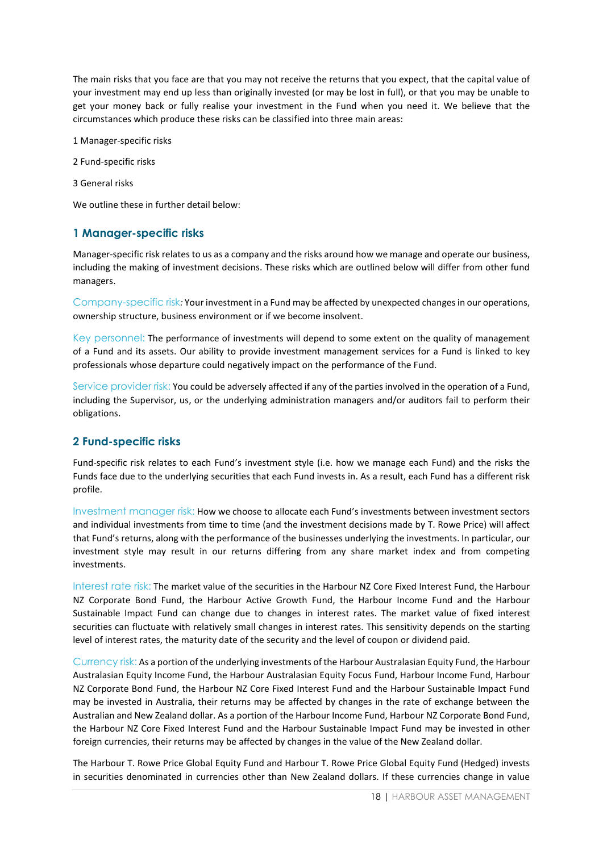The main risks that you face are that you may not receive the returns that you expect, that the capital value of your investment may end up less than originally invested (or may be lost in full), or that you may be unable to get your money back or fully realise your investment in the Fund when you need it. We believe that the circumstances which produce these risks can be classified into three main areas:

1 Manager-specific risks

2 Fund-specific risks

3 General risks

We outline these in further detail below:

#### **1 Manager-specific risks**

Manager-specific risk relates to us as a company and the risks around how we manage and operate our business, including the making of investment decisions. These risks which are outlined below will differ from other fund managers.

Company-specific risk*:* Your investment in a Fund may be affected by unexpected changes in our operations, ownership structure, business environment or if we become insolvent.

Key personnel: The performance of investments will depend to some extent on the quality of management of a Fund and its assets. Our ability to provide investment management services for a Fund is linked to key professionals whose departure could negatively impact on the performance of the Fund.

Service provider risk: You could be adversely affected if any of the parties involved in the operation of a Fund, including the Supervisor, us, or the underlying administration managers and/or auditors fail to perform their obligations.

#### **2 Fund-specific risks**

Fund-specific risk relates to each Fund's investment style (i.e. how we manage each Fund) and the risks the Funds face due to the underlying securities that each Fund invests in. As a result, each Fund has a different risk profile.

Investment manager risk: How we choose to allocate each Fund's investments between investment sectors and individual investments from time to time (and the investment decisions made by T. Rowe Price) will affect that Fund's returns, along with the performance of the businesses underlying the investments. In particular, our investment style may result in our returns differing from any share market index and from competing investments.

Interest rate risk: The market value of the securities in the Harbour NZ Core Fixed Interest Fund, the Harbour NZ Corporate Bond Fund, the Harbour Active Growth Fund, the Harbour Income Fund and the Harbour Sustainable Impact Fund can change due to changes in interest rates. The market value of fixed interest securities can fluctuate with relatively small changes in interest rates. This sensitivity depends on the starting level of interest rates, the maturity date of the security and the level of coupon or dividend paid.

Currency risk: As a portion of the underlying investments of the Harbour Australasian Equity Fund, the Harbour Australasian Equity Income Fund, the Harbour Australasian Equity Focus Fund, Harbour Income Fund, Harbour NZ Corporate Bond Fund, the Harbour NZ Core Fixed Interest Fund and the Harbour Sustainable Impact Fund may be invested in Australia, their returns may be affected by changes in the rate of exchange between the Australian and New Zealand dollar. As a portion of the Harbour Income Fund, Harbour NZ Corporate Bond Fund, the Harbour NZ Core Fixed Interest Fund and the Harbour Sustainable Impact Fund may be invested in other foreign currencies, their returns may be affected by changes in the value of the New Zealand dollar.

The Harbour T. Rowe Price Global Equity Fund and Harbour T. Rowe Price Global Equity Fund (Hedged) invests in securities denominated in currencies other than New Zealand dollars. If these currencies change in value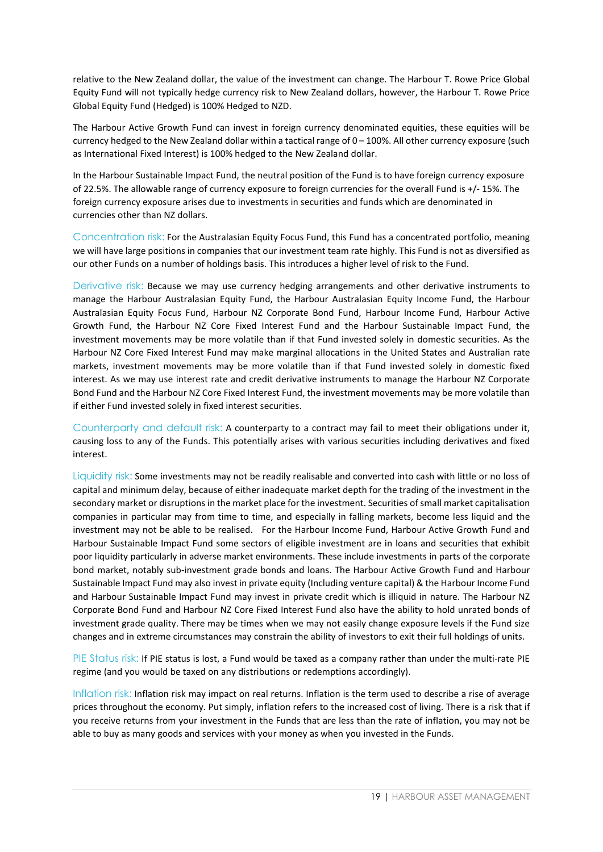relative to the New Zealand dollar, the value of the investment can change. The Harbour T. Rowe Price Global Equity Fund will not typically hedge currency risk to New Zealand dollars, however, the Harbour T. Rowe Price Global Equity Fund (Hedged) is 100% Hedged to NZD.

The Harbour Active Growth Fund can invest in foreign currency denominated equities, these equities will be currency hedged to the New Zealand dollar within a tactical range of 0 – 100%. All other currency exposure (such as International Fixed Interest) is 100% hedged to the New Zealand dollar.

In the Harbour Sustainable Impact Fund, the neutral position of the Fund is to have foreign currency exposure of 22.5%. The allowable range of currency exposure to foreign currencies for the overall Fund is +/- 15%. The foreign currency exposure arises due to investments in securities and funds which are denominated in currencies other than NZ dollars.

Concentration risk: For the Australasian Equity Focus Fund, this Fund has a concentrated portfolio, meaning we will have large positions in companies that our investment team rate highly. This Fund is not as diversified as our other Funds on a number of holdings basis. This introduces a higher level of risk to the Fund.

Derivative risk: Because we may use currency hedging arrangements and other derivative instruments to manage the Harbour Australasian Equity Fund, the Harbour Australasian Equity Income Fund, the Harbour Australasian Equity Focus Fund, Harbour NZ Corporate Bond Fund, Harbour Income Fund, Harbour Active Growth Fund, the Harbour NZ Core Fixed Interest Fund and the Harbour Sustainable Impact Fund, the investment movements may be more volatile than if that Fund invested solely in domestic securities. As the Harbour NZ Core Fixed Interest Fund may make marginal allocations in the United States and Australian rate markets, investment movements may be more volatile than if that Fund invested solely in domestic fixed interest. As we may use interest rate and credit derivative instruments to manage the Harbour NZ Corporate Bond Fund and the Harbour NZ Core Fixed Interest Fund, the investment movements may be more volatile than if either Fund invested solely in fixed interest securities.

Counterparty and default risk: A counterparty to a contract may fail to meet their obligations under it, causing loss to any of the Funds. This potentially arises with various securities including derivatives and fixed interest.

Liquidity risk: Some investments may not be readily realisable and converted into cash with little or no loss of capital and minimum delay, because of either inadequate market depth for the trading of the investment in the secondary market or disruptions in the market place for the investment. Securities of small market capitalisation companies in particular may from time to time, and especially in falling markets, become less liquid and the investment may not be able to be realised. For the Harbour Income Fund, Harbour Active Growth Fund and Harbour Sustainable Impact Fund some sectors of eligible investment are in loans and securities that exhibit poor liquidity particularly in adverse market environments. These include investments in parts of the corporate bond market, notably sub-investment grade bonds and loans. The Harbour Active Growth Fund and Harbour Sustainable Impact Fund may also invest in private equity (Including venture capital) & the Harbour Income Fund and Harbour Sustainable Impact Fund may invest in private credit which is illiquid in nature. The Harbour NZ Corporate Bond Fund and Harbour NZ Core Fixed Interest Fund also have the ability to hold unrated bonds of investment grade quality. There may be times when we may not easily change exposure levels if the Fund size changes and in extreme circumstances may constrain the ability of investors to exit their full holdings of units.

PIE Status risk: If PIE status is lost, a Fund would be taxed as a company rather than under the multi-rate PIE regime (and you would be taxed on any distributions or redemptions accordingly).

Inflation risk: Inflation risk may impact on real returns. Inflation is the term used to describe a rise of average prices throughout the economy. Put simply, inflation refers to the increased cost of living. There is a risk that if you receive returns from your investment in the Funds that are less than the rate of inflation, you may not be able to buy as many goods and services with your money as when you invested in the Funds.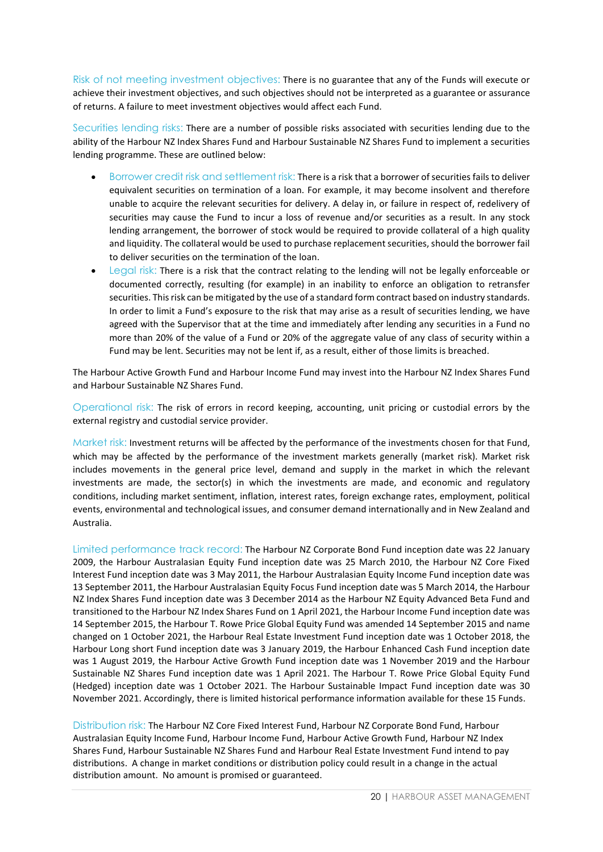Risk of not meeting investment objectives: There is no guarantee that any of the Funds will execute or achieve their investment objectives, and such objectives should not be interpreted as a guarantee or assurance of returns. A failure to meet investment objectives would affect each Fund.

Securities lending risks: There are a number of possible risks associated with securities lending due to the ability of the Harbour NZ Index Shares Fund and Harbour Sustainable NZ Shares Fund to implement a securities lending programme. These are outlined below:

- Borrower credit risk and settlement risk: There is a risk that a borrower of securities fails to deliver equivalent securities on termination of a loan. For example, it may become insolvent and therefore unable to acquire the relevant securities for delivery. A delay in, or failure in respect of, redelivery of securities may cause the Fund to incur a loss of revenue and/or securities as a result. In any stock lending arrangement, the borrower of stock would be required to provide collateral of a high quality and liquidity. The collateral would be used to purchase replacement securities, should the borrower fail to deliver securities on the termination of the loan.
- Legal risk: There is a risk that the contract relating to the lending will not be legally enforceable or documented correctly, resulting (for example) in an inability to enforce an obligation to retransfer securities. This risk can be mitigated by the use of a standard form contract based on industry standards. In order to limit a Fund's exposure to the risk that may arise as a result of securities lending, we have agreed with the Supervisor that at the time and immediately after lending any securities in a Fund no more than 20% of the value of a Fund or 20% of the aggregate value of any class of security within a Fund may be lent. Securities may not be lent if, as a result, either of those limits is breached.

The Harbour Active Growth Fund and Harbour Income Fund may invest into the Harbour NZ Index Shares Fund and Harbour Sustainable NZ Shares Fund.

Operational risk: The risk of errors in record keeping, accounting, unit pricing or custodial errors by the external registry and custodial service provider.

Market risk: Investment returns will be affected by the performance of the investments chosen for that Fund, which may be affected by the performance of the investment markets generally (market risk). Market risk includes movements in the general price level, demand and supply in the market in which the relevant investments are made, the sector(s) in which the investments are made, and economic and regulatory conditions, including market sentiment, inflation, interest rates, foreign exchange rates, employment, political events, environmental and technological issues, and consumer demand internationally and in New Zealand and Australia.

Limited performance track record: The Harbour NZ Corporate Bond Fund inception date was 22 January 2009, the Harbour Australasian Equity Fund inception date was 25 March 2010, the Harbour NZ Core Fixed Interest Fund inception date was 3 May 2011, the Harbour Australasian Equity Income Fund inception date was 13 September 2011, the Harbour Australasian Equity Focus Fund inception date was 5 March 2014, the Harbour NZ Index Shares Fund inception date was 3 December 2014 as the Harbour NZ Equity Advanced Beta Fund and transitioned to the Harbour NZ Index Shares Fund on 1 April 2021, the Harbour Income Fund inception date was 14 September 2015, the Harbour T. Rowe Price Global Equity Fund was amended 14 September 2015 and name changed on 1 October 2021, the Harbour Real Estate Investment Fund inception date was 1 October 2018, the Harbour Long short Fund inception date was 3 January 2019, the Harbour Enhanced Cash Fund inception date was 1 August 2019, the Harbour Active Growth Fund inception date was 1 November 2019 and the Harbour Sustainable NZ Shares Fund inception date was 1 April 2021. The Harbour T. Rowe Price Global Equity Fund (Hedged) inception date was 1 October 2021. The Harbour Sustainable Impact Fund inception date was 30 November 2021. Accordingly, there is limited historical performance information available for these 15 Funds.

Distribution risk: The Harbour NZ Core Fixed Interest Fund, Harbour NZ Corporate Bond Fund, Harbour Australasian Equity Income Fund, Harbour Income Fund, Harbour Active Growth Fund, Harbour NZ Index Shares Fund, Harbour Sustainable NZ Shares Fund and Harbour Real Estate Investment Fund intend to pay distributions. A change in market conditions or distribution policy could result in a change in the actual distribution amount. No amount is promised or guaranteed.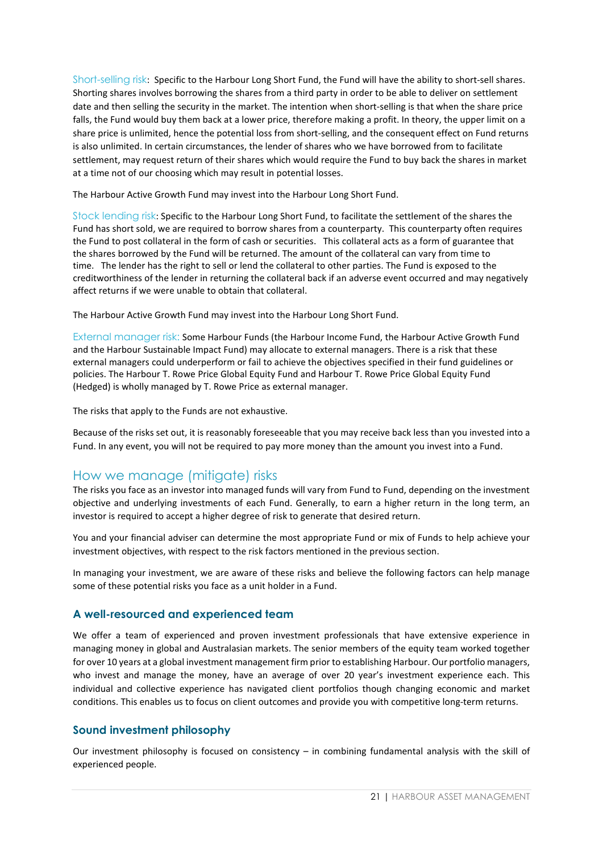Short-selling risk: Specific to the Harbour Long Short Fund, the Fund will have the ability to short-sell shares. Shorting shares involves borrowing the shares from a third party in order to be able to deliver on settlement date and then selling the security in the market. The intention when short-selling is that when the share price falls, the Fund would buy them back at a lower price, therefore making a profit. In theory, the upper limit on a share price is unlimited, hence the potential loss from short-selling, and the consequent effect on Fund returns is also unlimited. In certain circumstances, the lender of shares who we have borrowed from to facilitate settlement, may request return of their shares which would require the Fund to buy back the shares in market at a time not of our choosing which may result in potential losses.

The Harbour Active Growth Fund may invest into the Harbour Long Short Fund.

Stock lending risk: Specific to the Harbour Long Short Fund, to facilitate the settlement of the shares the Fund has short sold, we are required to borrow shares from a counterparty. This counterparty often requires the Fund to post collateral in the form of cash or securities. This collateral acts as a form of guarantee that the shares borrowed by the Fund will be returned. The amount of the collateral can vary from time to time. The lender has the right to sell or lend the collateral to other parties. The Fund is exposed to the creditworthiness of the lender in returning the collateral back if an adverse event occurred and may negatively affect returns if we were unable to obtain that collateral.

The Harbour Active Growth Fund may invest into the Harbour Long Short Fund.

External manager risk: Some Harbour Funds (the Harbour Income Fund, the Harbour Active Growth Fund and the Harbour Sustainable Impact Fund) may allocate to external managers. There is a risk that these external managers could underperform or fail to achieve the objectives specified in their fund guidelines or policies. The Harbour T. Rowe Price Global Equity Fund and Harbour T. Rowe Price Global Equity Fund (Hedged) is wholly managed by T. Rowe Price as external manager.

The risks that apply to the Funds are not exhaustive.

Because of the risks set out, it is reasonably foreseeable that you may receive back less than you invested into a Fund. In any event, you will not be required to pay more money than the amount you invest into a Fund.

## How we manage (mitigate) risks

The risks you face as an investor into managed funds will vary from Fund to Fund, depending on the investment objective and underlying investments of each Fund. Generally, to earn a higher return in the long term, an investor is required to accept a higher degree of risk to generate that desired return.

You and your financial adviser can determine the most appropriate Fund or mix of Funds to help achieve your investment objectives, with respect to the risk factors mentioned in the previous section.

In managing your investment, we are aware of these risks and believe the following factors can help manage some of these potential risks you face as a unit holder in a Fund.

#### **A well-resourced and experienced team**

We offer a team of experienced and proven investment professionals that have extensive experience in managing money in global and Australasian markets. The senior members of the equity team worked together for over 10 years at a global investment management firm prior to establishing Harbour. Our portfolio managers, who invest and manage the money, have an average of over 20 year's investment experience each. This individual and collective experience has navigated client portfolios though changing economic and market conditions. This enables us to focus on client outcomes and provide you with competitive long-term returns.

#### **Sound investment philosophy**

Our investment philosophy is focused on consistency – in combining fundamental analysis with the skill of experienced people.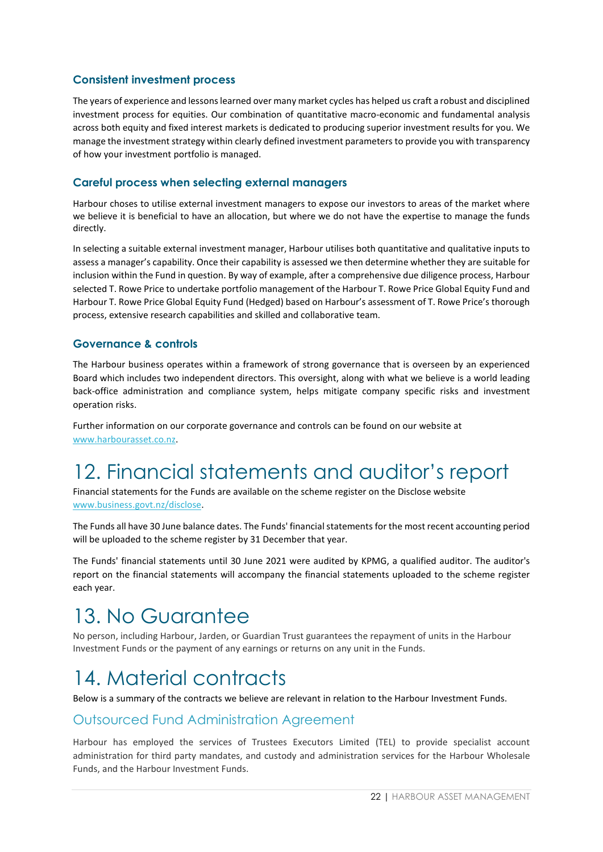#### **Consistent investment process**

The years of experience and lessons learned over many market cycles has helped us craft a robust and disciplined investment process for equities. Our combination of quantitative macro-economic and fundamental analysis across both equity and fixed interest markets is dedicated to producing superior investment results for you. We manage the investment strategy within clearly defined investment parameters to provide you with transparency of how your investment portfolio is managed.

#### **Careful process when selecting external managers**

Harbour choses to utilise external investment managers to expose our investors to areas of the market where we believe it is beneficial to have an allocation, but where we do not have the expertise to manage the funds directly.

In selecting a suitable external investment manager, Harbour utilises both quantitative and qualitative inputs to assess a manager's capability. Once their capability is assessed we then determine whether they are suitable for inclusion within the Fund in question. By way of example, after a comprehensive due diligence process, Harbour selected T. Rowe Price to undertake portfolio management of the Harbour T. Rowe Price Global Equity Fund and Harbour T. Rowe Price Global Equity Fund (Hedged) based on Harbour's assessment of T. Rowe Price's thorough process, extensive research capabilities and skilled and collaborative team.

#### **Governance & controls**

The Harbour business operates within a framework of strong governance that is overseen by an experienced Board which includes two independent directors. This oversight, along with what we believe is a world leading back-office administration and compliance system, helps mitigate company specific risks and investment operation risks.

Further information on our corporate governance and controls can be found on our website at [www.harbourasset.co.nz.](http://www.harbourasset.co.nz/)

# <span id="page-21-0"></span>12. Financial statements and auditor's report

Financial statements for the Funds are available on the scheme register on the Disclose website [www.business.govt.nz/disclose.](http://www.business.govt.nz/disclose)

The Funds all have 30 June balance dates. The Funds' financial statements for the most recent accounting period will be uploaded to the scheme register by 31 December that year.

The Funds' financial statements until 30 June 2021 were audited by KPMG, a qualified auditor. The auditor's report on the financial statements will accompany the financial statements uploaded to the scheme register each year.

## <span id="page-21-1"></span>13. No Guarantee

No person, including Harbour, Jarden, or Guardian Trust guarantees the repayment of units in the Harbour Investment Funds or the payment of any earnings or returns on any unit in the Funds.

## <span id="page-21-2"></span>14. Material contracts

Below is a summary of the contracts we believe are relevant in relation to the Harbour Investment Funds.

### Outsourced Fund Administration Agreement

Harbour has employed the services of Trustees Executors Limited (TEL) to provide specialist account administration for third party mandates, and custody and administration services for the Harbour Wholesale Funds, and the Harbour Investment Funds.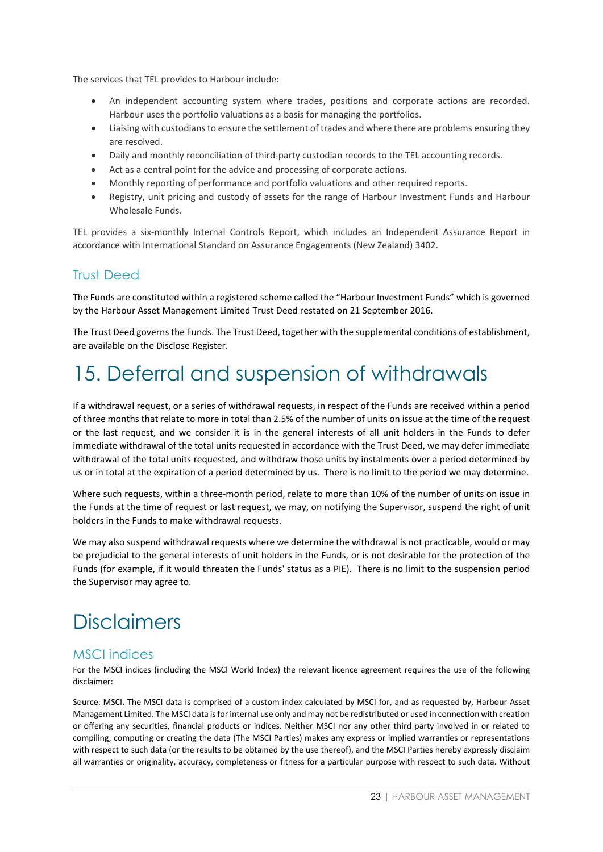The services that TEL provides to Harbour include:

- An independent accounting system where trades, positions and corporate actions are recorded. Harbour uses the portfolio valuations as a basis for managing the portfolios.
- Liaising with custodians to ensure the settlement of trades and where there are problems ensuring they are resolved.
- Daily and monthly reconciliation of third-party custodian records to the TEL accounting records.
- Act as a central point for the advice and processing of corporate actions.
- Monthly reporting of performance and portfolio valuations and other required reports.
- Registry, unit pricing and custody of assets for the range of Harbour Investment Funds and Harbour Wholesale Funds.

TEL provides a six-monthly Internal Controls Report, which includes an Independent Assurance Report in accordance with International Standard on Assurance Engagements (New Zealand) 3402.

## Trust Deed

The Funds are constituted within a registered scheme called the "Harbour Investment Funds" which is governed by the Harbour Asset Management Limited Trust Deed restated on 21 September 2016.

The Trust Deed governs the Funds. The Trust Deed, together with the supplemental conditions of establishment, are available on the Disclose Register.

## <span id="page-22-0"></span>15. Deferral and suspension of withdrawals

If a withdrawal request, or a series of withdrawal requests, in respect of the Funds are received within a period of three months that relate to more in total than 2.5% of the number of units on issue at the time of the request or the last request, and we consider it is in the general interests of all unit holders in the Funds to defer immediate withdrawal of the total units requested in accordance with the Trust Deed, we may defer immediate withdrawal of the total units requested, and withdraw those units by instalments over a period determined by us or in total at the expiration of a period determined by us. There is no limit to the period we may determine.

Where such requests, within a three-month period, relate to more than 10% of the number of units on issue in the Funds at the time of request or last request, we may, on notifying the Supervisor, suspend the right of unit holders in the Funds to make withdrawal requests.

We may also suspend withdrawal requests where we determine the withdrawal is not practicable, would or may be prejudicial to the general interests of unit holders in the Funds, or is not desirable for the protection of the Funds (for example, if it would threaten the Funds' status as a PIE). There is no limit to the suspension period the Supervisor may agree to.

## <span id="page-22-1"></span>**Disclaimers**

## MSCI indices

For the MSCI indices (including the MSCI World Index) the relevant licence agreement requires the use of the following disclaimer:

Source: MSCI. The MSCI data is comprised of a custom index calculated by MSCI for, and as requested by, Harbour Asset Management Limited. The MSCI data is for internal use only and may not be redistributed or used in connection with creation or offering any securities, financial products or indices. Neither MSCI nor any other third party involved in or related to compiling, computing or creating the data (The MSCI Parties) makes any express or implied warranties or representations with respect to such data (or the results to be obtained by the use thereof), and the MSCI Parties hereby expressly disclaim all warranties or originality, accuracy, completeness or fitness for a particular purpose with respect to such data. Without